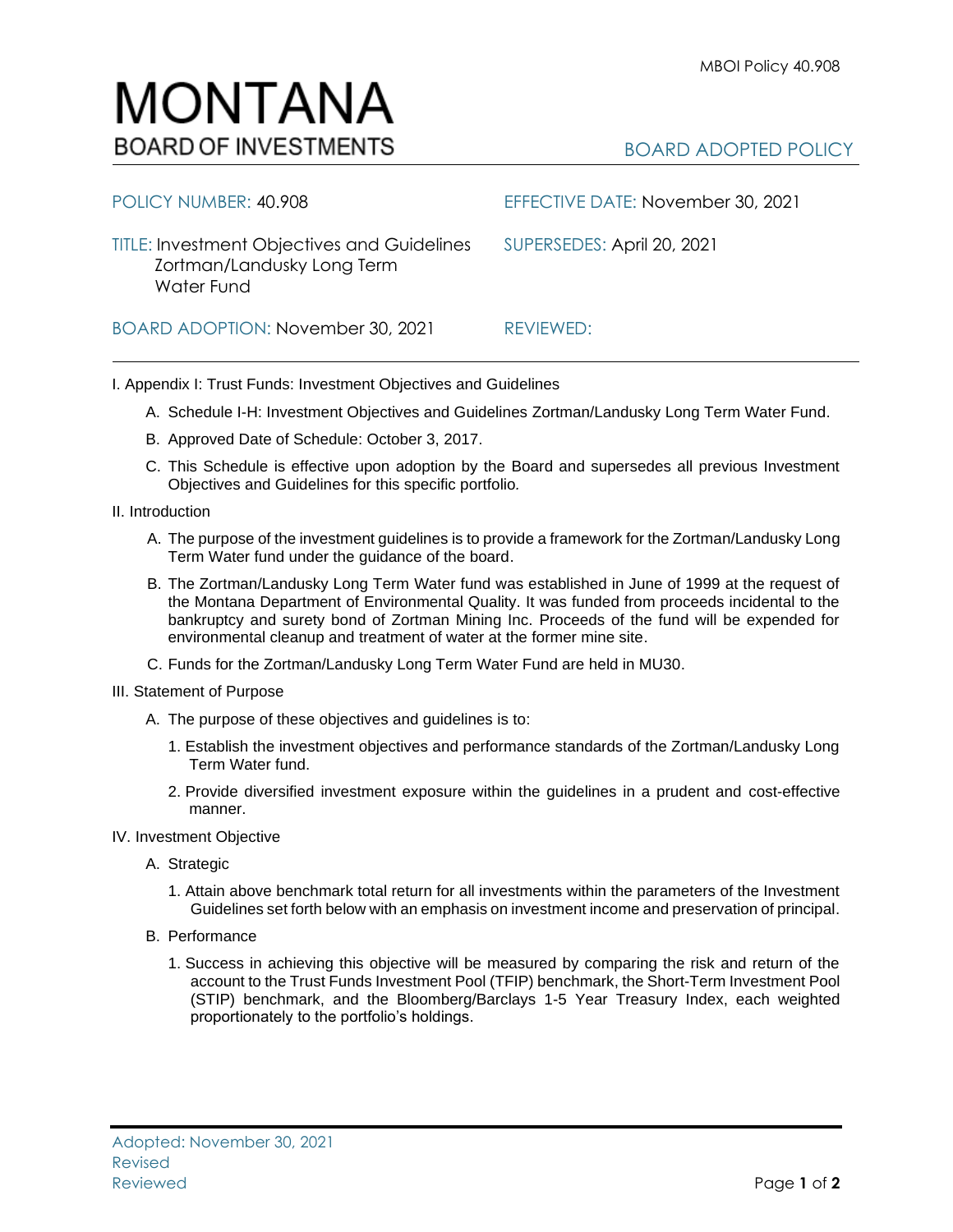## MONTANA **BOARD OF INVESTMENTS**

## BOARD ADOPTED POLICY

| POLICY NUMBER: 40.908                                                                          | EFFECTIVE DATE: November 30, 2021 |
|------------------------------------------------------------------------------------------------|-----------------------------------|
| <b>TITLE: Investment Objectives and Guidelines</b><br>Zortman/Landusky Long Term<br>Water Fund | SUPERSEDES: April 20, 2021        |
| BOARD ADOPTION: November 30, 2021                                                              | REVIEWED:                         |

I. Appendix I: Trust Funds: Investment Objectives and Guidelines

- A. Schedule I-H: Investment Objectives and Guidelines Zortman/Landusky Long Term Water Fund.
- B. Approved Date of Schedule: October 3, 2017.
- C. This Schedule is effective upon adoption by the Board and supersedes all previous Investment Objectives and Guidelines for this specific portfolio*.*

II. Introduction

- A. The purpose of the investment guidelines is to provide a framework for the Zortman/Landusky Long Term Water fund under the guidance of the board.
- B. The Zortman/Landusky Long Term Water fund was established in June of 1999 at the request of the Montana Department of Environmental Quality. It was funded from proceeds incidental to the bankruptcy and surety bond of Zortman Mining Inc. Proceeds of the fund will be expended for environmental cleanup and treatment of water at the former mine site.
- C. Funds for the Zortman/Landusky Long Term Water Fund are held in MU30.
- III. Statement of Purpose
	- A. The purpose of these objectives and guidelines is to:
		- 1. Establish the investment objectives and performance standards of the Zortman/Landusky Long Term Water fund.
		- 2. Provide diversified investment exposure within the guidelines in a prudent and cost-effective manner.
- IV. Investment Objective
	- A. Strategic
		- 1. Attain above benchmark total return for all investments within the parameters of the Investment Guidelines set forth below with an emphasis on investment income and preservation of principal.
	- B. Performance
		- 1. Success in achieving this objective will be measured by comparing the risk and return of the account to the Trust Funds Investment Pool (TFIP) benchmark, the Short-Term Investment Pool (STIP) benchmark, and the Bloomberg/Barclays 1-5 Year Treasury Index, each weighted proportionately to the portfolio's holdings.